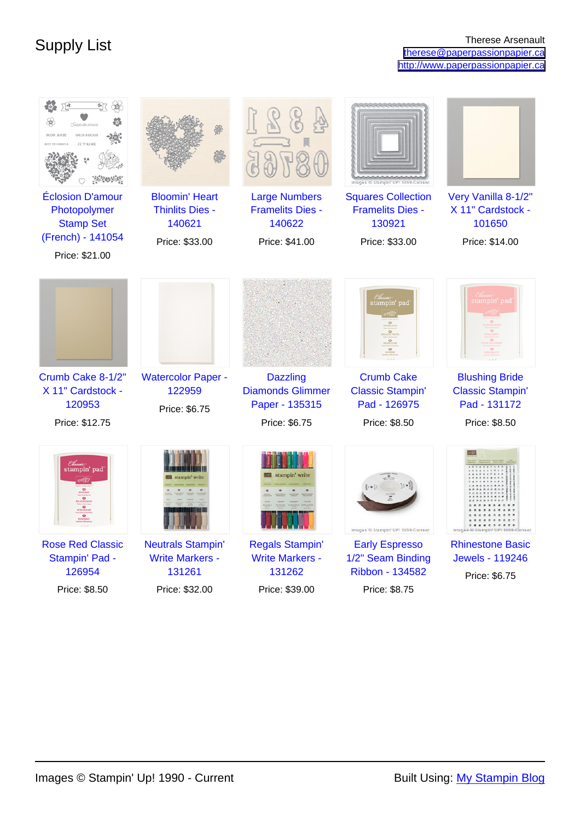| MON AMIE<br>GROS BISOUS<br>JE T'AIME                                                               |                                                                             |                                                                               | Images ® Stampin' UP! 1990-Current                                               |                                                                                   |
|----------------------------------------------------------------------------------------------------|-----------------------------------------------------------------------------|-------------------------------------------------------------------------------|----------------------------------------------------------------------------------|-----------------------------------------------------------------------------------|
| <b>Éclosion D'amour</b><br>Photopolymer<br><b>Stamp Set</b><br>(French) - 141054<br>Price: \$21.00 | <b>Bloomin' Heart</b><br><b>Thinlits Dies -</b><br>140621<br>Price: \$33.00 | <b>Large Numbers</b><br><b>Framelits Dies -</b><br>140622<br>Price: \$41.00   | <b>Squares Collection</b><br><b>Framelits Dies -</b><br>130921<br>Price: \$33.00 | Very Vanilla 8-1/2"<br>X 11" Cardstock -<br>101650<br>Price: \$14.00              |
|                                                                                                    |                                                                             |                                                                               | stampin' pad                                                                     | ampin' pad                                                                        |
| Crumb Cake 8-1/2"<br>X 11" Cardstock -<br>120953<br>Price: \$12.75                                 | <b>Watercolor Paper -</b><br>122959<br>Price: \$6.75                        | <b>Dazzling</b><br><b>Diamonds Glimmer</b><br>Paper - 135315<br>Price: \$6.75 | <b>Crumb Cake</b><br><b>Classic Stampin'</b><br>Pad - 126975<br>Price: \$8.50    | <b>Blushing Bride</b><br><b>Classic Stampin'</b><br>Pad - 131172<br>Price: \$8.50 |
| stampin' pad                                                                                       |                                                                             | stampin' write                                                                | Images ® Stampin' UP! 1990-Current                                               | Images @ Stampin' UPI 1990-Current                                                |
| <b>Rose Red Classic</b><br>Stampin' Pad -<br>126954                                                | <b>Neutrals Stampin'</b><br><b>Write Markers -</b><br>131261                | <b>Regals Stampin'</b><br><b>Write Markers -</b><br>131262                    | <b>Early Espresso</b><br>1/2" Seam Binding<br>Ribbon - 134582                    | <b>Rhinestone Basic</b><br><b>Jewels - 119246</b><br>Price: \$6.75                |
| Price: \$8.50                                                                                      | Price: \$32.00                                                              | Price: \$39.00                                                                | Price: \$8.75                                                                    |                                                                                   |